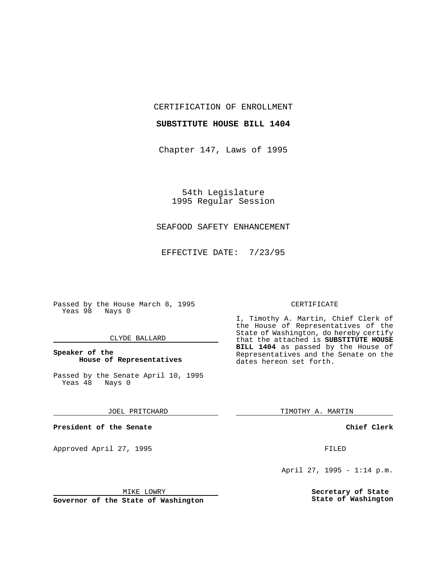CERTIFICATION OF ENROLLMENT

#### **SUBSTITUTE HOUSE BILL 1404**

Chapter 147, Laws of 1995

54th Legislature 1995 Regular Session

## SEAFOOD SAFETY ENHANCEMENT

EFFECTIVE DATE: 7/23/95

Passed by the House March 8, 1995 Yeas 98 Nays 0

#### CLYDE BALLARD

## **Speaker of the House of Representatives**

Passed by the Senate April 10, 1995<br>Yeas 48 Nays 0 Yeas 48

#### JOEL PRITCHARD

**President of the Senate**

Approved April 27, 1995 FILED

#### MIKE LOWRY

**Governor of the State of Washington**

#### CERTIFICATE

I, Timothy A. Martin, Chief Clerk of the House of Representatives of the State of Washington, do hereby certify that the attached is **SUBSTITUTE HOUSE BILL 1404** as passed by the House of Representatives and the Senate on the dates hereon set forth.

TIMOTHY A. MARTIN

### **Chief Clerk**

April 27, 1995 - 1:14 p.m.

**Secretary of State State of Washington**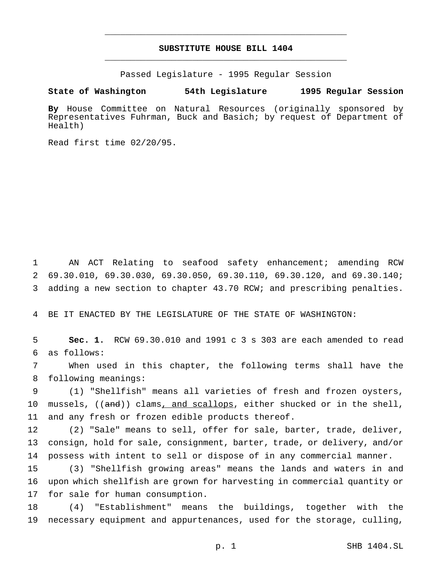# **SUBSTITUTE HOUSE BILL 1404** \_\_\_\_\_\_\_\_\_\_\_\_\_\_\_\_\_\_\_\_\_\_\_\_\_\_\_\_\_\_\_\_\_\_\_\_\_\_\_\_\_\_\_\_\_\_\_

\_\_\_\_\_\_\_\_\_\_\_\_\_\_\_\_\_\_\_\_\_\_\_\_\_\_\_\_\_\_\_\_\_\_\_\_\_\_\_\_\_\_\_\_\_\_\_

Passed Legislature - 1995 Regular Session

#### **State of Washington 54th Legislature 1995 Regular Session**

**By** House Committee on Natural Resources (originally sponsored by Representatives Fuhrman, Buck and Basich; by request of Department of Health)

Read first time 02/20/95.

 AN ACT Relating to seafood safety enhancement; amending RCW 69.30.010, 69.30.030, 69.30.050, 69.30.110, 69.30.120, and 69.30.140; adding a new section to chapter 43.70 RCW; and prescribing penalties.

BE IT ENACTED BY THE LEGISLATURE OF THE STATE OF WASHINGTON:

 **Sec. 1.** RCW 69.30.010 and 1991 c 3 s 303 are each amended to read as follows:

 When used in this chapter, the following terms shall have the following meanings:

 (1) "Shellfish" means all varieties of fresh and frozen oysters, 10 mussels, ((and)) clams, and scallops, either shucked or in the shell, and any fresh or frozen edible products thereof.

 (2) "Sale" means to sell, offer for sale, barter, trade, deliver, consign, hold for sale, consignment, barter, trade, or delivery, and/or possess with intent to sell or dispose of in any commercial manner.

 (3) "Shellfish growing areas" means the lands and waters in and upon which shellfish are grown for harvesting in commercial quantity or for sale for human consumption.

 (4) "Establishment" means the buildings, together with the necessary equipment and appurtenances, used for the storage, culling,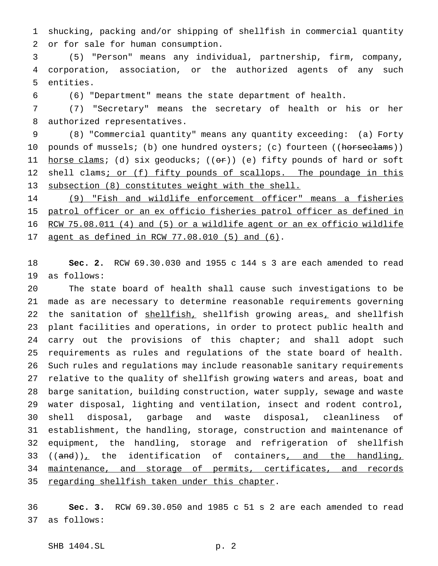shucking, packing and/or shipping of shellfish in commercial quantity or for sale for human consumption.

 (5) "Person" means any individual, partnership, firm, company, corporation, association, or the authorized agents of any such entities.

(6) "Department" means the state department of health.

 (7) "Secretary" means the secretary of health or his or her authorized representatives.

 (8) "Commercial quantity" means any quantity exceeding: (a) Forty 10 pounds of mussels; (b) one hundred oysters; (c) fourteen ((horseclams)) 11  $horse clams$ ; (d) six geoducks; (( $o~~r~~$ )) (e) fifty pounds of hard or soft</u> 12 shell clams; or (f) fifty pounds of scallops. The poundage in this subsection (8) constitutes weight with the shell.

 (9) "Fish and wildlife enforcement officer" means a fisheries 15 patrol officer or an ex officio fisheries patrol officer as defined in RCW 75.08.011 (4) and (5) or a wildlife agent or an ex officio wildlife agent as defined in RCW 77.08.010 (5) and (6).

 **Sec. 2.** RCW 69.30.030 and 1955 c 144 s 3 are each amended to read as follows:

 The state board of health shall cause such investigations to be made as are necessary to determine reasonable requirements governing 22 the sanitation of shellfish, shellfish growing areas, and shellfish plant facilities and operations, in order to protect public health and 24 carry out the provisions of this chapter; and shall adopt such requirements as rules and regulations of the state board of health. Such rules and regulations may include reasonable sanitary requirements relative to the quality of shellfish growing waters and areas, boat and barge sanitation, building construction, water supply, sewage and waste water disposal, lighting and ventilation, insect and rodent control, shell disposal, garbage and waste disposal, cleanliness of establishment, the handling, storage, construction and maintenance of equipment, the handling, storage and refrigeration of shellfish 33 ( $(\text{and})_{\perp}$  the identification of containers, and the handling, maintenance, and storage of permits, certificates, and records 35 regarding shellfish taken under this chapter.

 **Sec. 3.** RCW 69.30.050 and 1985 c 51 s 2 are each amended to read as follows: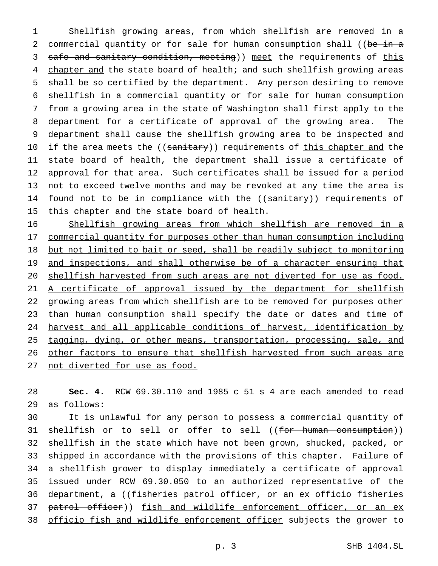1 Shellfish growing areas, from which shellfish are removed in a 2 commercial quantity or for sale for human consumption shall ((be in a 3 safe and sanitary condition, meeting)) meet the requirements of this 4 chapter and the state board of health; and such shellfish growing areas 5 shall be so certified by the department. Any person desiring to remove 6 shellfish in a commercial quantity or for sale for human consumption 7 from a growing area in the state of Washington shall first apply to the 8 department for a certificate of approval of the growing area. The 9 department shall cause the shellfish growing area to be inspected and 10 if the area meets the ((sanitary)) requirements of this chapter and the 11 state board of health, the department shall issue a certificate of 12 approval for that area. Such certificates shall be issued for a period 13 not to exceed twelve months and may be revoked at any time the area is 14 found not to be in compliance with the ((sanitary)) requirements of 15 this chapter and the state board of health.

16 Shellfish growing areas from which shellfish are removed in a 17 commercial quantity for purposes other than human consumption including 18 but not limited to bait or seed, shall be readily subject to monitoring 19 and inspections, and shall otherwise be of a character ensuring that 20 shellfish harvested from such areas are not diverted for use as food. 21 A certificate of approval issued by the department for shellfish 22 growing areas from which shellfish are to be removed for purposes other 23 than human consumption shall specify the date or dates and time of 24 harvest and all applicable conditions of harvest, identification by 25 tagging, dying, or other means, transportation, processing, sale, and 26 other factors to ensure that shellfish harvested from such areas are 27 not diverted for use as food.

28 **Sec. 4.** RCW 69.30.110 and 1985 c 51 s 4 are each amended to read 29 as follows:

30 It is unlawful for any person to possess a commercial quantity of 31 shellfish or to sell or offer to sell ((for human consumption)) 32 shellfish in the state which have not been grown, shucked, packed, or 33 shipped in accordance with the provisions of this chapter. Failure of 34 a shellfish grower to display immediately a certificate of approval 35 issued under RCW 69.30.050 to an authorized representative of the 36 department, a ((fisheries patrol officer, or an ex officio fisheries 37 patrol officer)) fish and wildlife enforcement officer, or an ex 38 officio fish and wildlife enforcement officer subjects the grower to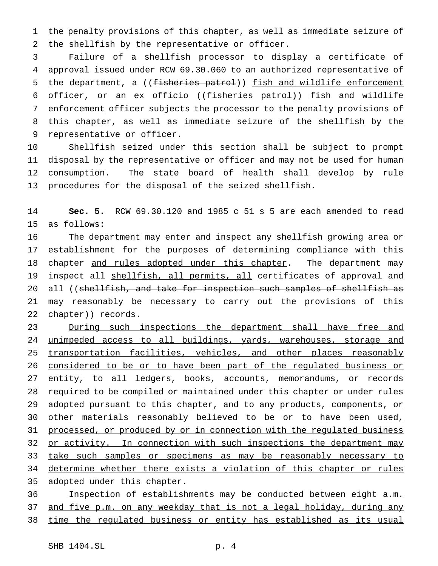1 the penalty provisions of this chapter, as well as immediate seizure of 2 the shellfish by the representative or officer.

3 Failure of a shellfish processor to display a certificate of 4 approval issued under RCW 69.30.060 to an authorized representative of 5 the department, a ((fisheries patrol)) fish and wildlife enforcement 6 officer, or an ex officio ((<del>fisheries patrol</del>)) fish and wildlife 7 enforcement officer subjects the processor to the penalty provisions of 8 this chapter, as well as immediate seizure of the shellfish by the 9 representative or officer.

 Shellfish seized under this section shall be subject to prompt disposal by the representative or officer and may not be used for human consumption. The state board of health shall develop by rule procedures for the disposal of the seized shellfish.

14 **Sec. 5.** RCW 69.30.120 and 1985 c 51 s 5 are each amended to read 15 as follows:

16 The department may enter and inspect any shellfish growing area or 17 establishment for the purposes of determining compliance with this 18 chapter and rules adopted under this chapter. The department may 19 inspect all shellfish, all permits, all certificates of approval and 20 all ((shellfish, and take for inspection such samples of shellfish as 21 may reasonably be necessary to carry out the provisions of this 22 chapter)) records.

23 During such inspections the department shall have free and 24 unimpeded access to all buildings, yards, warehouses, storage and 25 transportation facilities, vehicles, and other places reasonably 26 considered to be or to have been part of the regulated business or 27 entity, to all ledgers, books, accounts, memorandums, or records 28 required to be compiled or maintained under this chapter or under rules 29 adopted pursuant to this chapter, and to any products, components, or 30 other materials reasonably believed to be or to have been used, 31 processed, or produced by or in connection with the regulated business 32 or activity. In connection with such inspections the department may 33 take such samples or specimens as may be reasonably necessary to 34 determine whether there exists a violation of this chapter or rules 35 adopted under this chapter. 36 Inspection of establishments may be conducted between eight a.m.

37 and five p.m. on any weekday that is not a legal holiday, during any 38 time the regulated business or entity has established as its usual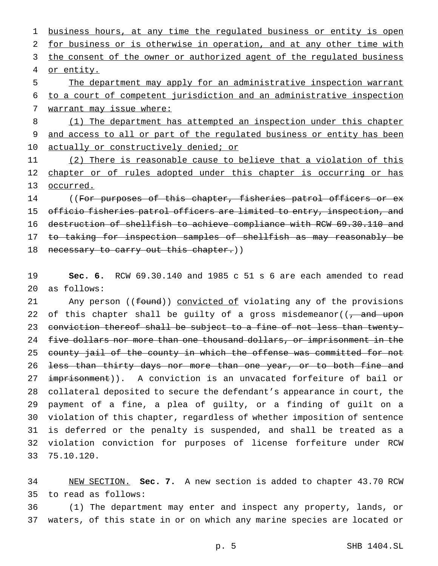1 business hours, at any time the regulated business or entity is open 2 for business or is otherwise in operation, and at any other time with 3 the consent of the owner or authorized agent of the regulated business 4 or entity. 5 The department may apply for an administrative inspection warrant

6 to a court of competent jurisdiction and an administrative inspection 7 warrant may issue where:

8 (1) The department has attempted an inspection under this chapter 9 and access to all or part of the regulated business or entity has been 10 actually or constructively denied; or

11 (2) There is reasonable cause to believe that a violation of this 12 chapter or of rules adopted under this chapter is occurring or has 13 occurred.

14 ((For purposes of this chapter, fisheries patrol officers or ex 15 officio fisheries patrol officers are limited to entry, inspection, and 16 destruction of shellfish to achieve compliance with RCW 69.30.110 and 17 <del>to taking for inspection samples of shellfish as may reasonably be</del> 18 necessary to carry out this chapter.))

19 **Sec. 6.** RCW 69.30.140 and 1985 c 51 s 6 are each amended to read 20 as follows:

21 Any person ((<del>found</del>)) convicted of violating any of the provisions 22 of this chapter shall be guilty of a gross misdemeanor( $(-\text{ and upon})$ 23 conviction thereof shall be subject to a fine of not less than twenty-24 five dollars nor more than one thousand dollars, or imprisonment in the 25 county jail of the county in which the offense was committed for not 26 <del>less than thirty days nor more than one year, or to both fine and</del> 27 imprisonment)). A conviction is an unvacated forfeiture of bail or 28 collateral deposited to secure the defendant's appearance in court, the 29 payment of a fine, a plea of guilty, or a finding of guilt on a 30 violation of this chapter, regardless of whether imposition of sentence 31 is deferred or the penalty is suspended, and shall be treated as a 32 violation conviction for purposes of license forfeiture under RCW 33 75.10.120.

34 NEW SECTION. **Sec. 7.** A new section is added to chapter 43.70 RCW 35 to read as follows:

36 (1) The department may enter and inspect any property, lands, or 37 waters, of this state in or on which any marine species are located or